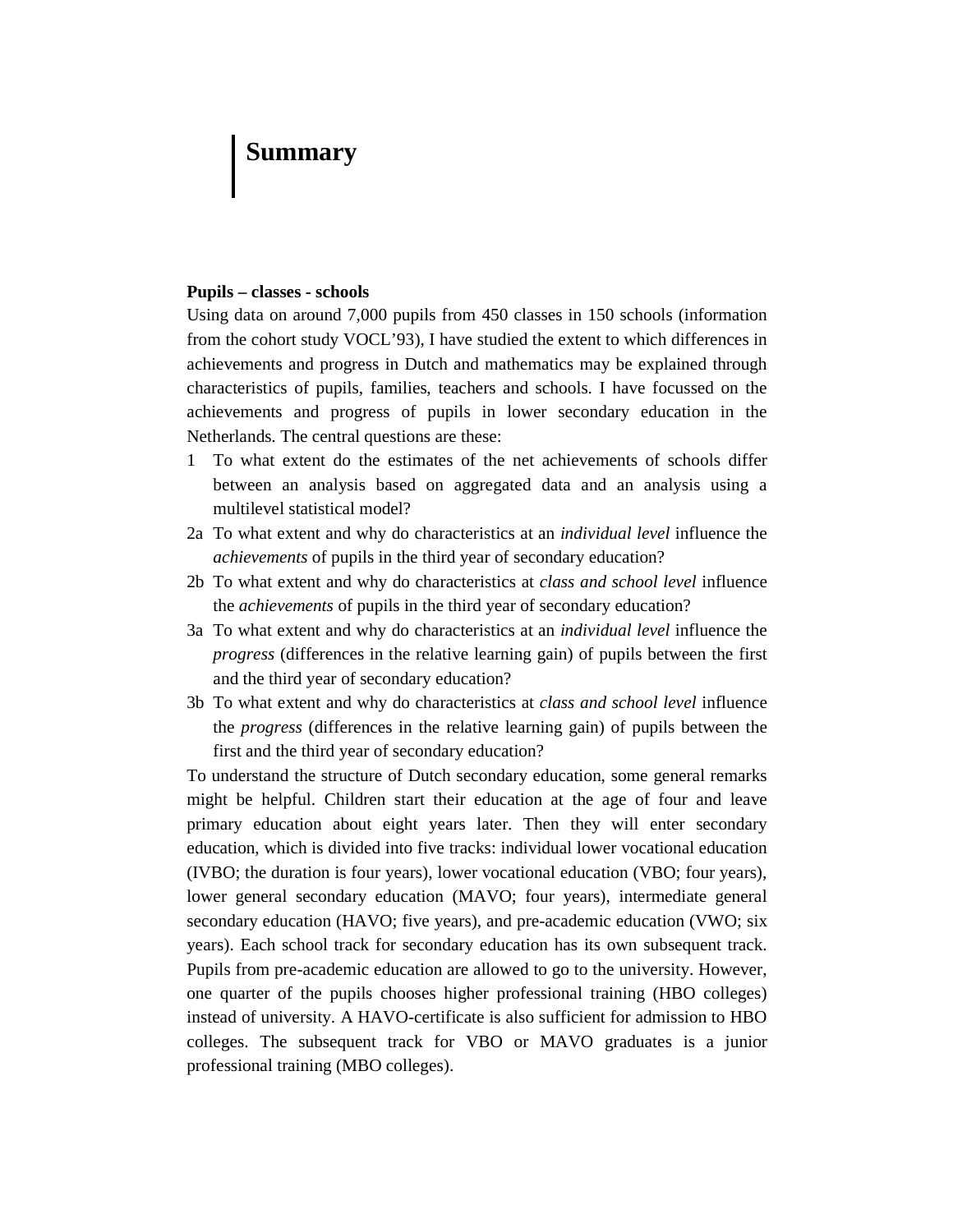# **Summary**

#### **Pupils – classes - schools**

Using data on around 7,000 pupils from 450 classes in 150 schools (information from the cohort study VOCL'93), I have studied the extent to which differences in achievements and progress in Dutch and mathematics may be explained through characteristics of pupils, families, teachers and schools. I have focussed on the achievements and progress of pupils in lower secondary education in the Netherlands. The central questions are these:

- 1 To what extent do the estimates of the net achievements of schools differ between an analysis based on aggregated data and an analysis using a multilevel statistical model?
- 2a To what extent and why do characteristics at an *individual level* influence the *achievements* of pupils in the third year of secondary education?
- 2b To what extent and why do characteristics at *class and school level* influence the *achievements* of pupils in the third year of secondary education?
- 3a To what extent and why do characteristics at an *individual level* influence the *progress* (differences in the relative learning gain) of pupils between the first and the third year of secondary education?
- 3b To what extent and why do characteristics at *class and school level* influence the *progress* (differences in the relative learning gain) of pupils between the first and the third year of secondary education?

To understand the structure of Dutch secondary education, some general remarks might be helpful. Children start their education at the age of four and leave primary education about eight years later. Then they will enter secondary education, which is divided into five tracks: individual lower vocational education (IVBO; the duration is four years), lower vocational education (VBO; four years), lower general secondary education (MAVO; four years), intermediate general secondary education (HAVO; five years), and pre-academic education (VWO; six years). Each school track for secondary education has its own subsequent track. Pupils from pre-academic education are allowed to go to the university. However, one quarter of the pupils chooses higher professional training (HBO colleges) instead of university. A HAVO-certificate is also sufficient for admission to HBO colleges. The subsequent track for VBO or MAVO graduates is a junior professional training (MBO colleges).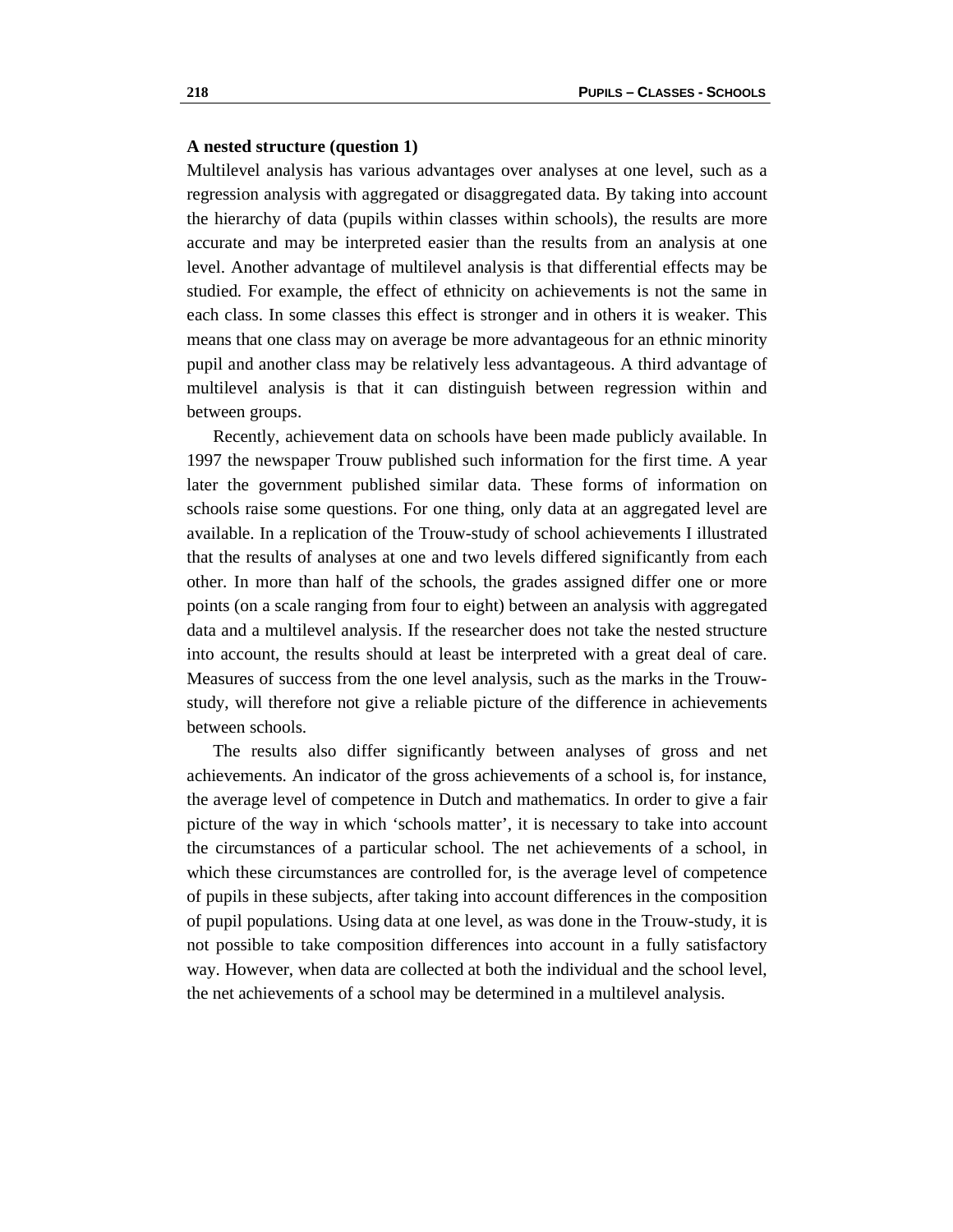#### **A nested structure (question 1)**

Multilevel analysis has various advantages over analyses at one level, such as a regression analysis with aggregated or disaggregated data. By taking into account the hierarchy of data (pupils within classes within schools), the results are more accurate and may be interpreted easier than the results from an analysis at one level. Another advantage of multilevel analysis is that differential effects may be studied. For example, the effect of ethnicity on achievements is not the same in each class. In some classes this effect is stronger and in others it is weaker. This means that one class may on average be more advantageous for an ethnic minority pupil and another class may be relatively less advantageous. A third advantage of multilevel analysis is that it can distinguish between regression within and between groups.

 Recently, achievement data on schools have been made publicly available. In 1997 the newspaper Trouw published such information for the first time. A year later the government published similar data. These forms of information on schools raise some questions. For one thing, only data at an aggregated level are available. In a replication of the Trouw-study of school achievements I illustrated that the results of analyses at one and two levels differed significantly from each other. In more than half of the schools, the grades assigned differ one or more points (on a scale ranging from four to eight) between an analysis with aggregated data and a multilevel analysis. If the researcher does not take the nested structure into account, the results should at least be interpreted with a great deal of care. Measures of success from the one level analysis, such as the marks in the Trouwstudy, will therefore not give a reliable picture of the difference in achievements between schools.

 The results also differ significantly between analyses of gross and net achievements. An indicator of the gross achievements of a school is, for instance, the average level of competence in Dutch and mathematics. In order to give a fair picture of the way in which 'schools matter', it is necessary to take into account the circumstances of a particular school. The net achievements of a school, in which these circumstances are controlled for, is the average level of competence of pupils in these subjects, after taking into account differences in the composition of pupil populations. Using data at one level, as was done in the Trouw-study, it is not possible to take composition differences into account in a fully satisfactory way. However, when data are collected at both the individual and the school level, the net achievements of a school may be determined in a multilevel analysis.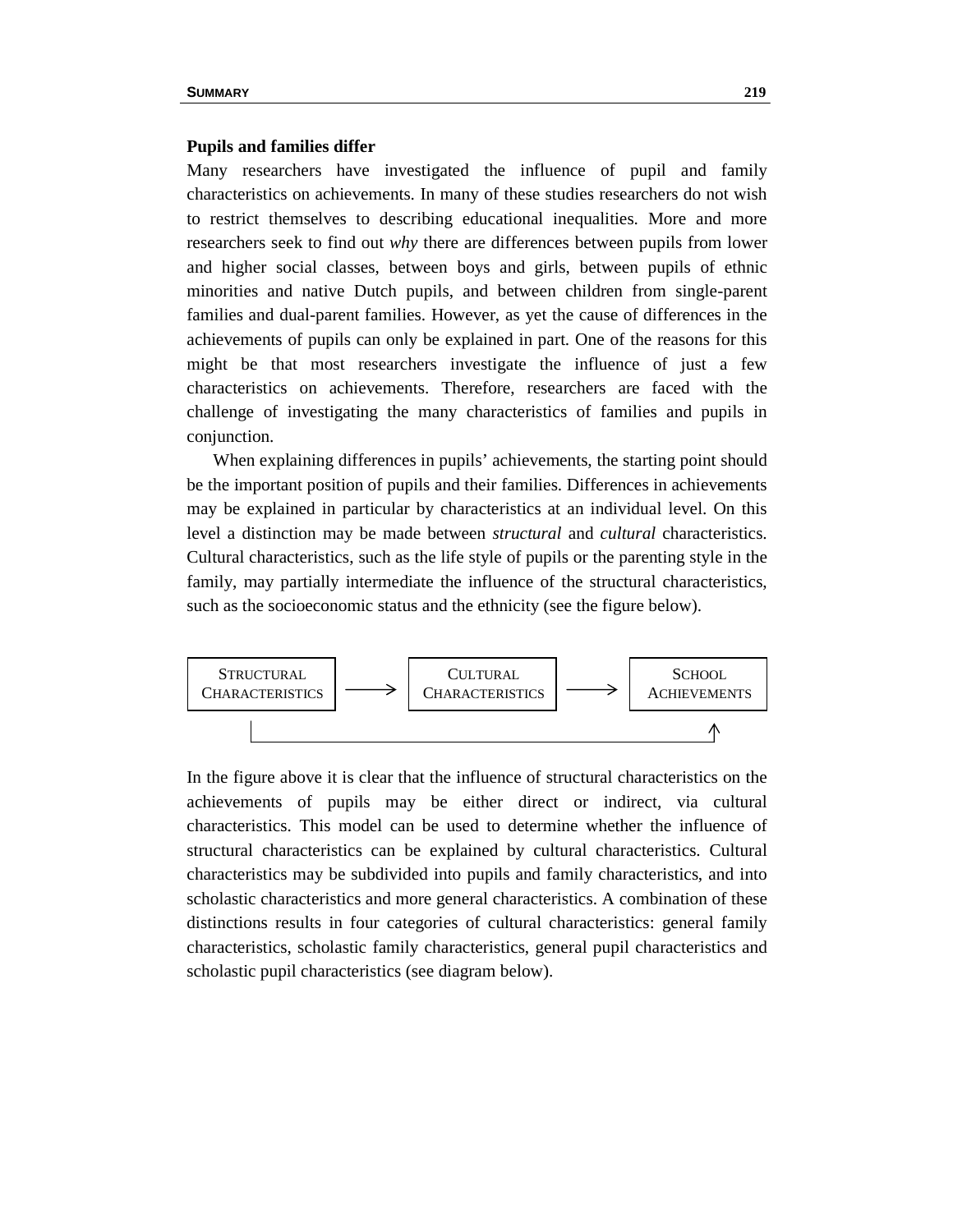#### **Pupils and families differ**

Many researchers have investigated the influence of pupil and family characteristics on achievements. In many of these studies researchers do not wish to restrict themselves to describing educational inequalities. More and more researchers seek to find out *why* there are differences between pupils from lower and higher social classes, between boys and girls, between pupils of ethnic minorities and native Dutch pupils, and between children from single-parent families and dual-parent families. However, as yet the cause of differences in the achievements of pupils can only be explained in part. One of the reasons for this might be that most researchers investigate the influence of just a few characteristics on achievements. Therefore, researchers are faced with the challenge of investigating the many characteristics of families and pupils in conjunction.

 When explaining differences in pupils' achievements, the starting point should be the important position of pupils and their families. Differences in achievements may be explained in particular by characteristics at an individual level. On this level a distinction may be made between *structural* and *cultural* characteristics. Cultural characteristics, such as the life style of pupils or the parenting style in the family, may partially intermediate the influence of the structural characteristics, such as the socioeconomic status and the ethnicity (see the figure below).



In the figure above it is clear that the influence of structural characteristics on the achievements of pupils may be either direct or indirect, via cultural characteristics. This model can be used to determine whether the influence of structural characteristics can be explained by cultural characteristics. Cultural characteristics may be subdivided into pupils and family characteristics, and into scholastic characteristics and more general characteristics. A combination of these distinctions results in four categories of cultural characteristics: general family characteristics, scholastic family characteristics, general pupil characteristics and scholastic pupil characteristics (see diagram below).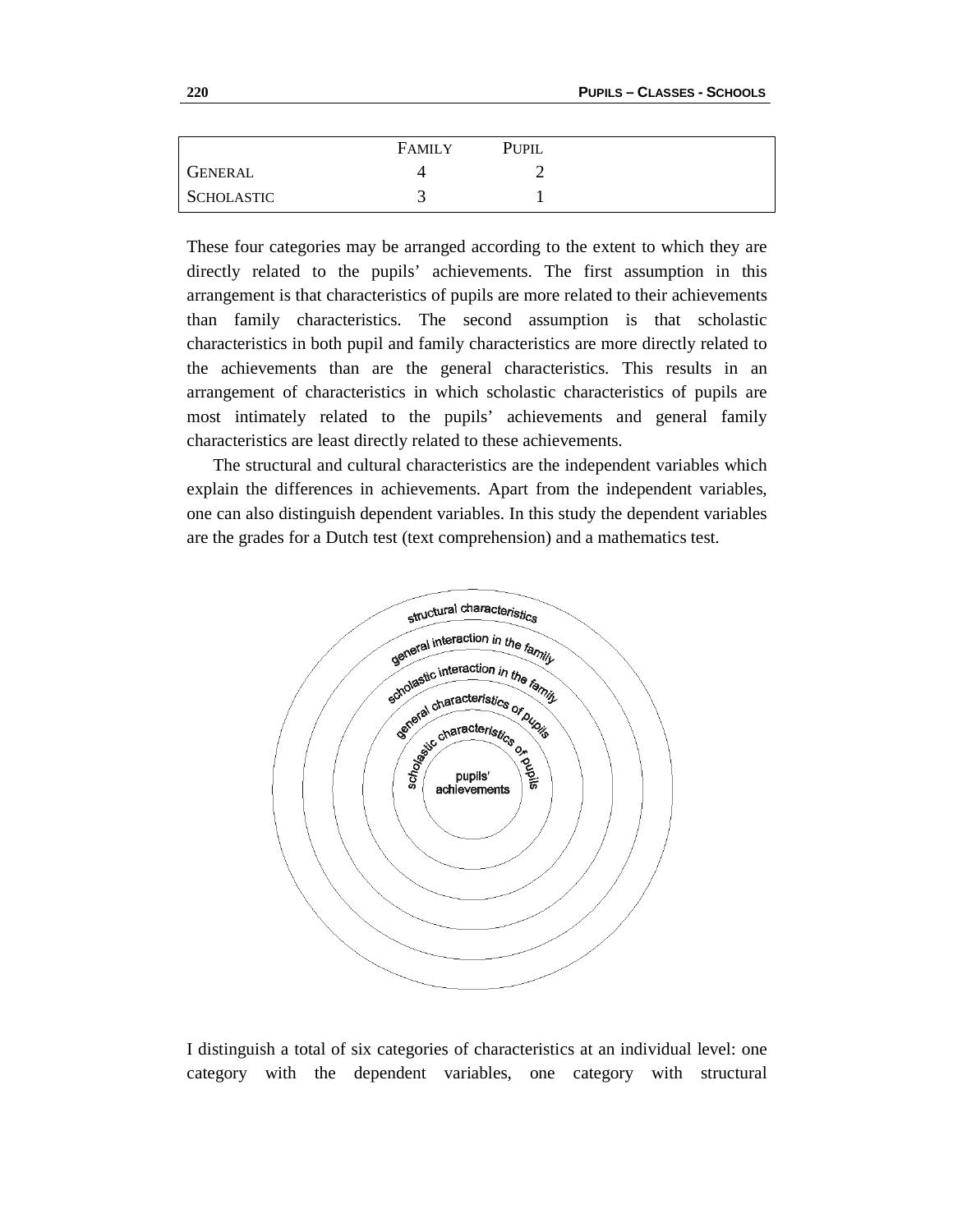|            | <b>FAMILY</b> | PUPIL |
|------------|---------------|-------|
| GENERAL    |               |       |
| SCHOLASTIC |               |       |

These four categories may be arranged according to the extent to which they are directly related to the pupils' achievements. The first assumption in this arrangement is that characteristics of pupils are more related to their achievements than family characteristics. The second assumption is that scholastic characteristics in both pupil and family characteristics are more directly related to the achievements than are the general characteristics. This results in an arrangement of characteristics in which scholastic characteristics of pupils are most intimately related to the pupils' achievements and general family characteristics are least directly related to these achievements.

 The structural and cultural characteristics are the independent variables which explain the differences in achievements. Apart from the independent variables, one can also distinguish dependent variables. In this study the dependent variables are the grades for a Dutch test (text comprehension) and a mathematics test.



I distinguish a total of six categories of characteristics at an individual level: one category with the dependent variables, one category with structural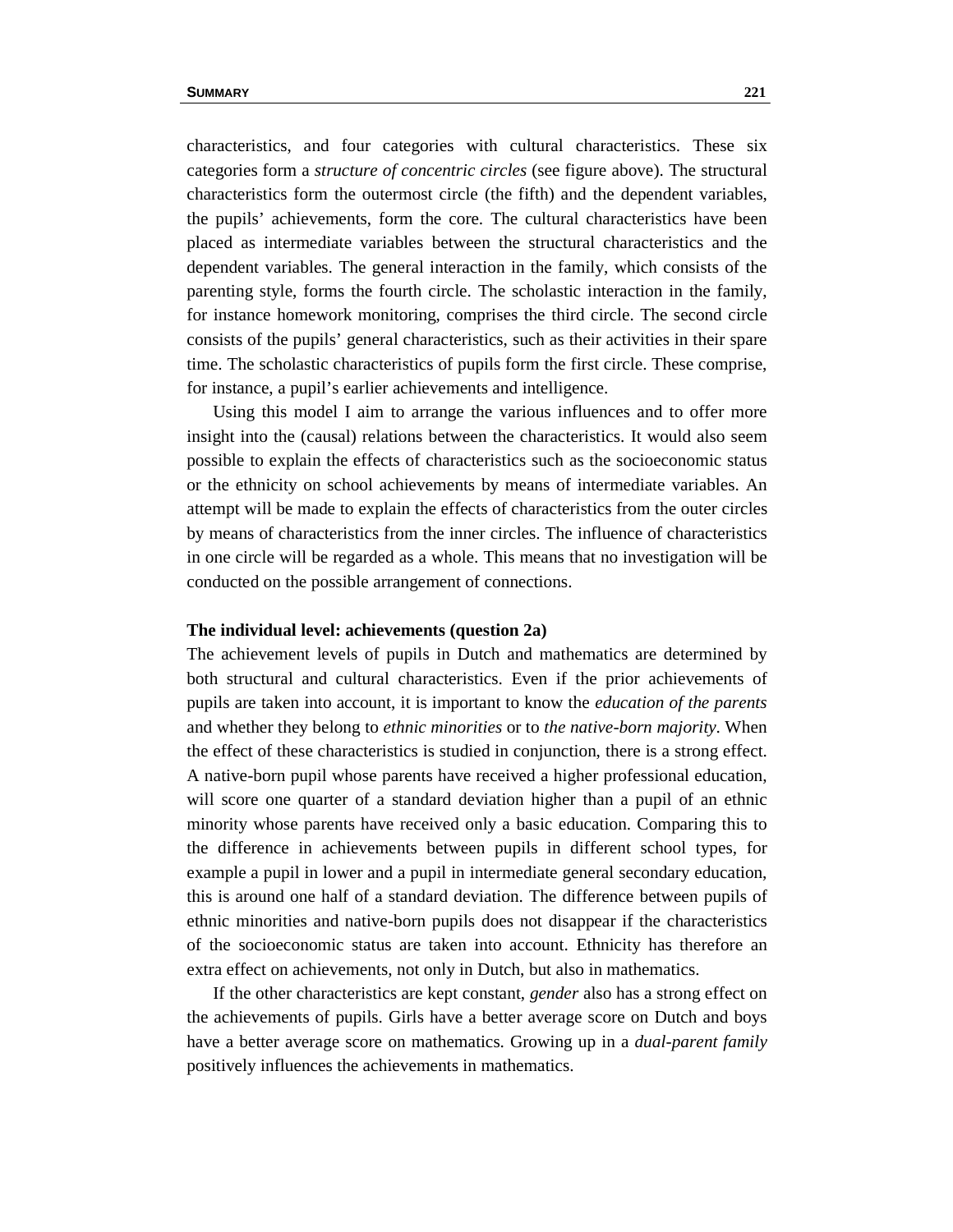characteristics, and four categories with cultural characteristics. These six categories form a *structure of concentric circles* (see figure above). The structural characteristics form the outermost circle (the fifth) and the dependent variables, the pupils' achievements, form the core. The cultural characteristics have been placed as intermediate variables between the structural characteristics and the dependent variables. The general interaction in the family, which consists of the parenting style, forms the fourth circle. The scholastic interaction in the family, for instance homework monitoring, comprises the third circle. The second circle consists of the pupils' general characteristics, such as their activities in their spare time. The scholastic characteristics of pupils form the first circle. These comprise, for instance, a pupil's earlier achievements and intelligence.

 Using this model I aim to arrange the various influences and to offer more insight into the (causal) relations between the characteristics. It would also seem possible to explain the effects of characteristics such as the socioeconomic status or the ethnicity on school achievements by means of intermediate variables. An attempt will be made to explain the effects of characteristics from the outer circles by means of characteristics from the inner circles. The influence of characteristics in one circle will be regarded as a whole. This means that no investigation will be conducted on the possible arrangement of connections.

## **The individual level: achievements (question 2a)**

The achievement levels of pupils in Dutch and mathematics are determined by both structural and cultural characteristics. Even if the prior achievements of pupils are taken into account, it is important to know the *education of the parents* and whether they belong to *ethnic minorities* or to *the native-born majority*. When the effect of these characteristics is studied in conjunction, there is a strong effect. A native-born pupil whose parents have received a higher professional education, will score one quarter of a standard deviation higher than a pupil of an ethnic minority whose parents have received only a basic education. Comparing this to the difference in achievements between pupils in different school types, for example a pupil in lower and a pupil in intermediate general secondary education, this is around one half of a standard deviation. The difference between pupils of ethnic minorities and native-born pupils does not disappear if the characteristics of the socioeconomic status are taken into account. Ethnicity has therefore an extra effect on achievements, not only in Dutch, but also in mathematics.

 If the other characteristics are kept constant, *gender* also has a strong effect on the achievements of pupils. Girls have a better average score on Dutch and boys have a better average score on mathematics. Growing up in a *dual-parent family* positively influences the achievements in mathematics.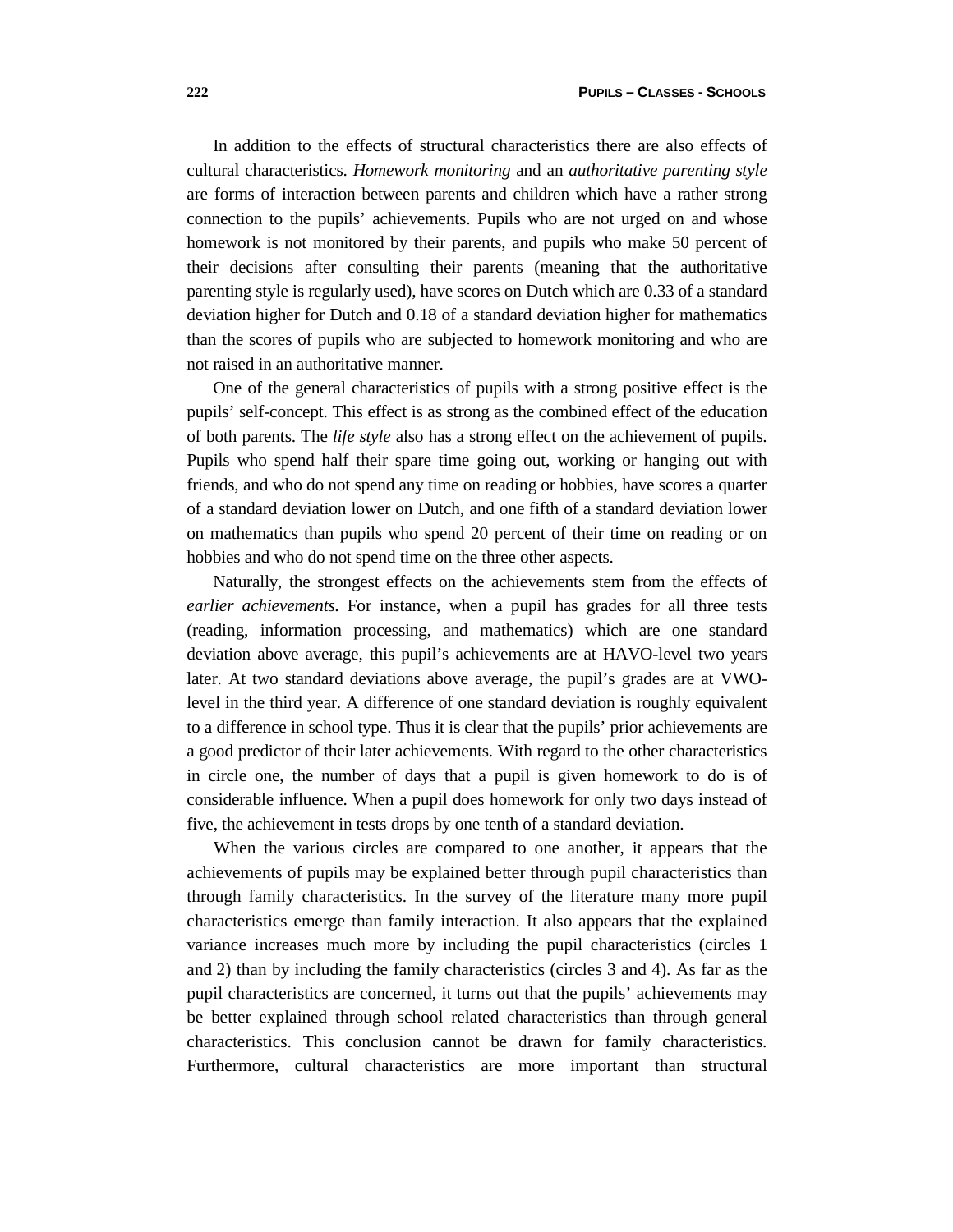In addition to the effects of structural characteristics there are also effects of cultural characteristics. *Homework monitoring* and an *authoritative parenting style* are forms of interaction between parents and children which have a rather strong connection to the pupils' achievements. Pupils who are not urged on and whose homework is not monitored by their parents, and pupils who make 50 percent of their decisions after consulting their parents (meaning that the authoritative parenting style is regularly used), have scores on Dutch which are 0.33 of a standard deviation higher for Dutch and 0.18 of a standard deviation higher for mathematics than the scores of pupils who are subjected to homework monitoring and who are not raised in an authoritative manner.

 One of the general characteristics of pupils with a strong positive effect is the pupils' self-concept. This effect is as strong as the combined effect of the education of both parents. The *life style* also has a strong effect on the achievement of pupils. Pupils who spend half their spare time going out, working or hanging out with friends, and who do not spend any time on reading or hobbies, have scores a quarter of a standard deviation lower on Dutch, and one fifth of a standard deviation lower on mathematics than pupils who spend 20 percent of their time on reading or on hobbies and who do not spend time on the three other aspects.

 Naturally, the strongest effects on the achievements stem from the effects of *earlier achievements*. For instance, when a pupil has grades for all three tests (reading, information processing, and mathematics) which are one standard deviation above average, this pupil's achievements are at HAVO-level two years later. At two standard deviations above average, the pupil's grades are at VWOlevel in the third year. A difference of one standard deviation is roughly equivalent to a difference in school type. Thus it is clear that the pupils' prior achievements are a good predictor of their later achievements. With regard to the other characteristics in circle one, the number of days that a pupil is given homework to do is of considerable influence. When a pupil does homework for only two days instead of five, the achievement in tests drops by one tenth of a standard deviation.

 When the various circles are compared to one another, it appears that the achievements of pupils may be explained better through pupil characteristics than through family characteristics. In the survey of the literature many more pupil characteristics emerge than family interaction. It also appears that the explained variance increases much more by including the pupil characteristics (circles 1 and 2) than by including the family characteristics (circles 3 and 4). As far as the pupil characteristics are concerned, it turns out that the pupils' achievements may be better explained through school related characteristics than through general characteristics. This conclusion cannot be drawn for family characteristics. Furthermore, cultural characteristics are more important than structural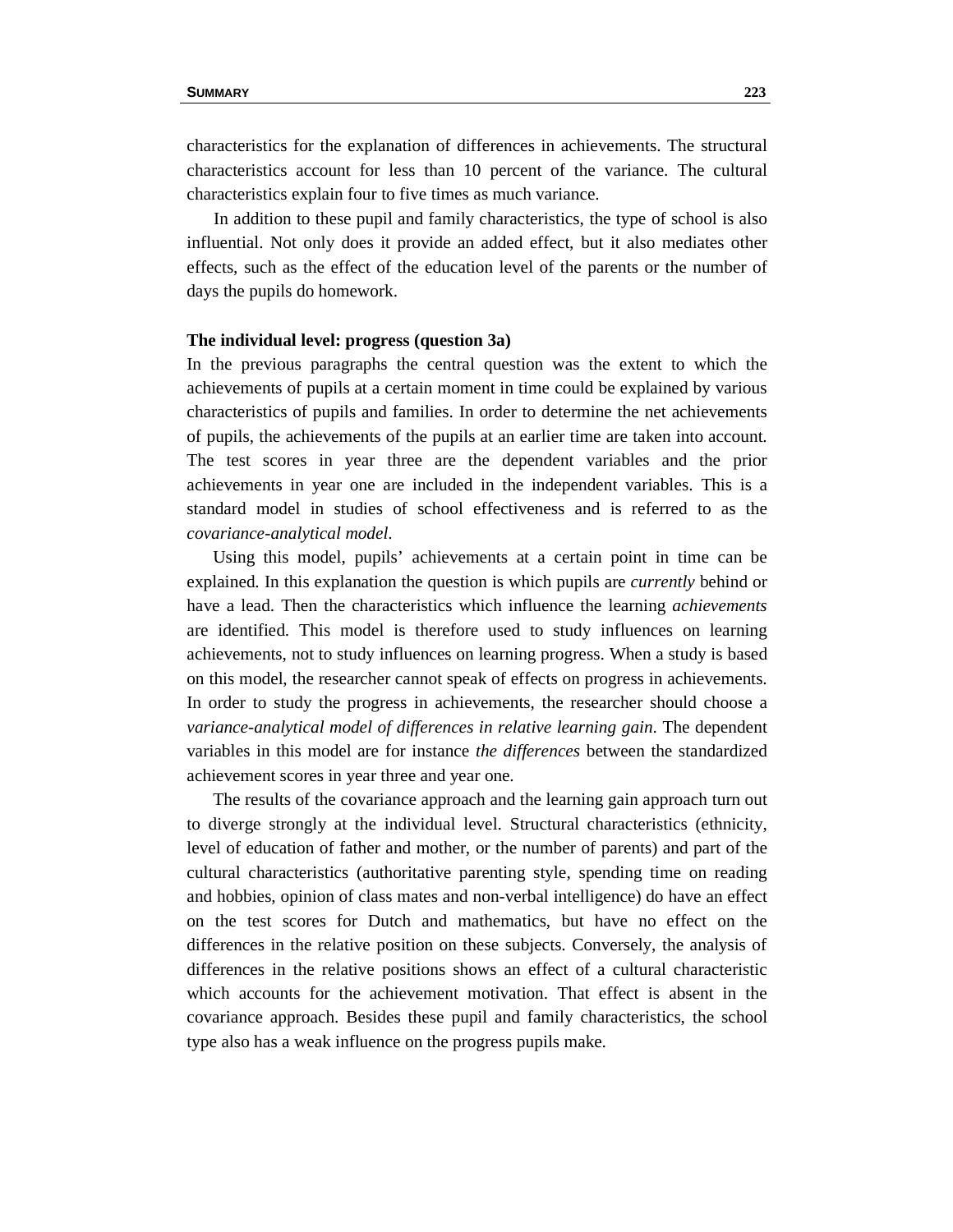characteristics for the explanation of differences in achievements. The structural characteristics account for less than 10 percent of the variance. The cultural characteristics explain four to five times as much variance.

 In addition to these pupil and family characteristics, the type of school is also influential. Not only does it provide an added effect, but it also mediates other effects, such as the effect of the education level of the parents or the number of days the pupils do homework.

#### **The individual level: progress (question 3a)**

In the previous paragraphs the central question was the extent to which the achievements of pupils at a certain moment in time could be explained by various characteristics of pupils and families. In order to determine the net achievements of pupils, the achievements of the pupils at an earlier time are taken into account. The test scores in year three are the dependent variables and the prior achievements in year one are included in the independent variables. This is a standard model in studies of school effectiveness and is referred to as the *covariance-analytical model*.

 Using this model, pupils' achievements at a certain point in time can be explained. In this explanation the question is which pupils are *currently* behind or have a lead. Then the characteristics which influence the learning *achievements* are identified. This model is therefore used to study influences on learning achievements, not to study influences on learning progress. When a study is based on this model, the researcher cannot speak of effects on progress in achievements. In order to study the progress in achievements, the researcher should choose a *variance-analytical model of differences in relative learning gain*. The dependent variables in this model are for instance *the differences* between the standardized achievement scores in year three and year one.

 The results of the covariance approach and the learning gain approach turn out to diverge strongly at the individual level. Structural characteristics (ethnicity, level of education of father and mother, or the number of parents) and part of the cultural characteristics (authoritative parenting style, spending time on reading and hobbies, opinion of class mates and non-verbal intelligence) do have an effect on the test scores for Dutch and mathematics, but have no effect on the differences in the relative position on these subjects. Conversely, the analysis of differences in the relative positions shows an effect of a cultural characteristic which accounts for the achievement motivation. That effect is absent in the covariance approach. Besides these pupil and family characteristics, the school type also has a weak influence on the progress pupils make.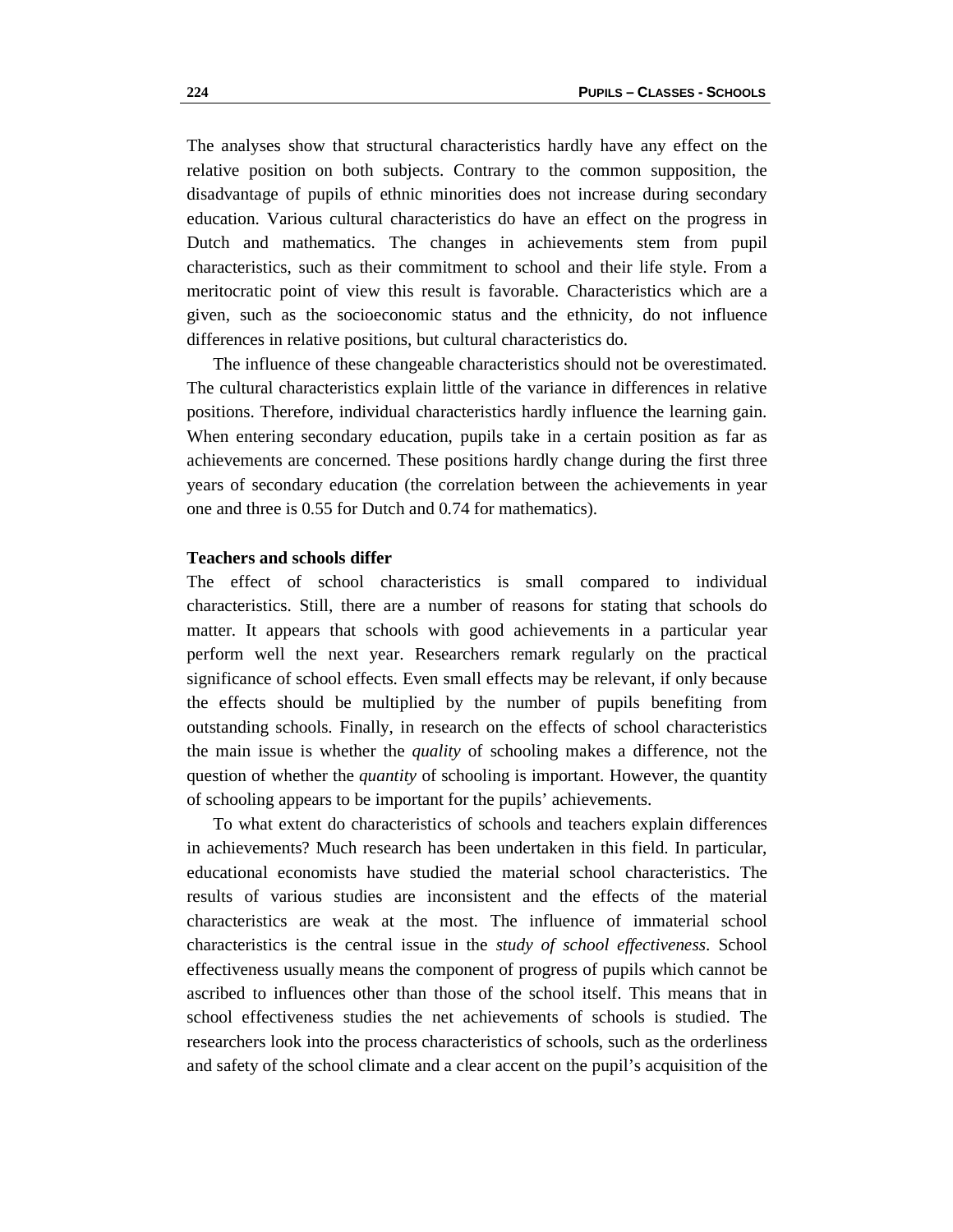The analyses show that structural characteristics hardly have any effect on the relative position on both subjects. Contrary to the common supposition, the disadvantage of pupils of ethnic minorities does not increase during secondary education. Various cultural characteristics do have an effect on the progress in Dutch and mathematics. The changes in achievements stem from pupil characteristics, such as their commitment to school and their life style. From a meritocratic point of view this result is favorable. Characteristics which are a given, such as the socioeconomic status and the ethnicity, do not influence differences in relative positions, but cultural characteristics do.

 The influence of these changeable characteristics should not be overestimated. The cultural characteristics explain little of the variance in differences in relative positions. Therefore, individual characteristics hardly influence the learning gain. When entering secondary education, pupils take in a certain position as far as achievements are concerned. These positions hardly change during the first three years of secondary education (the correlation between the achievements in year one and three is 0.55 for Dutch and 0.74 for mathematics).

## **Teachers and schools differ**

The effect of school characteristics is small compared to individual characteristics. Still, there are a number of reasons for stating that schools do matter. It appears that schools with good achievements in a particular year perform well the next year. Researchers remark regularly on the practical significance of school effects. Even small effects may be relevant, if only because the effects should be multiplied by the number of pupils benefiting from outstanding schools. Finally, in research on the effects of school characteristics the main issue is whether the *quality* of schooling makes a difference, not the question of whether the *quantity* of schooling is important. However, the quantity of schooling appears to be important for the pupils' achievements.

 To what extent do characteristics of schools and teachers explain differences in achievements? Much research has been undertaken in this field. In particular, educational economists have studied the material school characteristics. The results of various studies are inconsistent and the effects of the material characteristics are weak at the most. The influence of immaterial school characteristics is the central issue in the *study of school effectiveness*. School effectiveness usually means the component of progress of pupils which cannot be ascribed to influences other than those of the school itself. This means that in school effectiveness studies the net achievements of schools is studied. The researchers look into the process characteristics of schools, such as the orderliness and safety of the school climate and a clear accent on the pupil's acquisition of the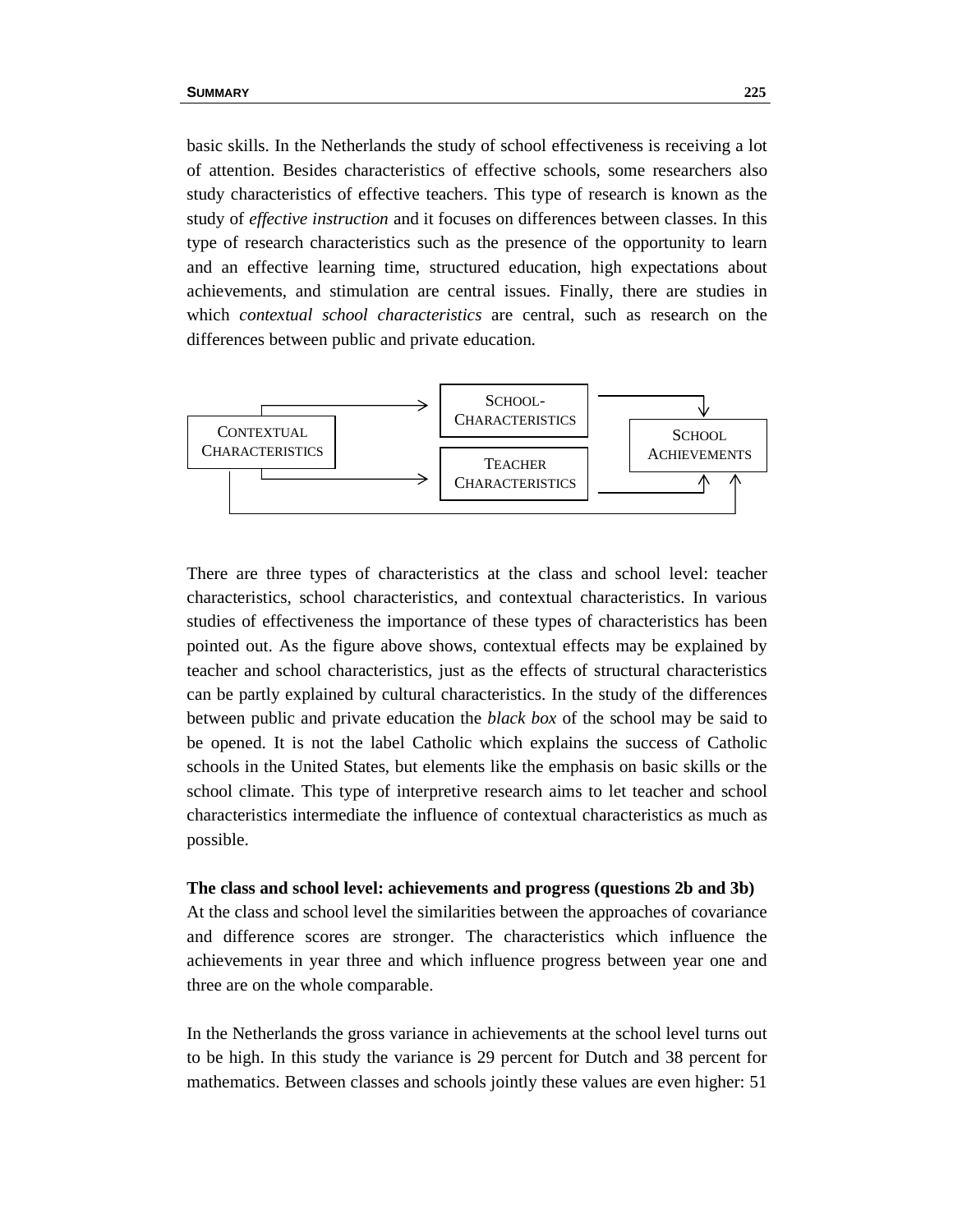basic skills. In the Netherlands the study of school effectiveness is receiving a lot of attention. Besides characteristics of effective schools, some researchers also study characteristics of effective teachers. This type of research is known as the study of *effective instruction* and it focuses on differences between classes. In this type of research characteristics such as the presence of the opportunity to learn and an effective learning time, structured education, high expectations about achievements, and stimulation are central issues. Finally, there are studies in which *contextual school characteristics* are central, such as research on the differences between public and private education.



There are three types of characteristics at the class and school level: teacher characteristics, school characteristics, and contextual characteristics. In various studies of effectiveness the importance of these types of characteristics has been pointed out. As the figure above shows, contextual effects may be explained by teacher and school characteristics, just as the effects of structural characteristics can be partly explained by cultural characteristics. In the study of the differences between public and private education the *black box* of the school may be said to be opened. It is not the label Catholic which explains the success of Catholic schools in the United States, but elements like the emphasis on basic skills or the school climate. This type of interpretive research aims to let teacher and school characteristics intermediate the influence of contextual characteristics as much as possible.

# **The class and school level: achievements and progress (questions 2b and 3b)**

At the class and school level the similarities between the approaches of covariance and difference scores are stronger. The characteristics which influence the achievements in year three and which influence progress between year one and three are on the whole comparable.

In the Netherlands the gross variance in achievements at the school level turns out to be high. In this study the variance is 29 percent for Dutch and 38 percent for mathematics. Between classes and schools jointly these values are even higher: 51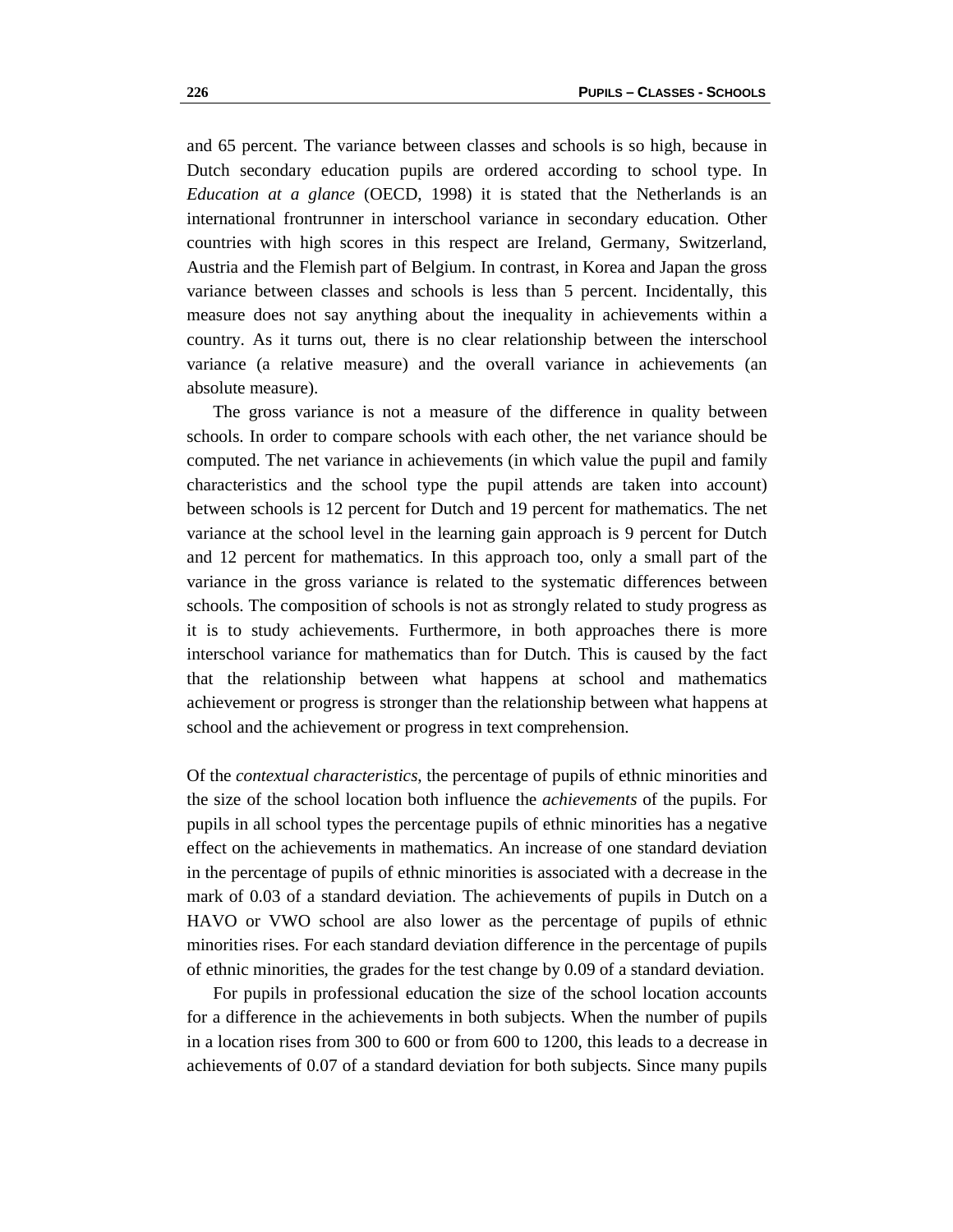and 65 percent. The variance between classes and schools is so high, because in Dutch secondary education pupils are ordered according to school type. In *Education at a glance* (OECD, 1998) it is stated that the Netherlands is an international frontrunner in interschool variance in secondary education. Other countries with high scores in this respect are Ireland, Germany, Switzerland, Austria and the Flemish part of Belgium. In contrast, in Korea and Japan the gross variance between classes and schools is less than 5 percent. Incidentally, this measure does not say anything about the inequality in achievements within a country. As it turns out, there is no clear relationship between the interschool variance (a relative measure) and the overall variance in achievements (an absolute measure).

 The gross variance is not a measure of the difference in quality between schools. In order to compare schools with each other, the net variance should be computed. The net variance in achievements (in which value the pupil and family characteristics and the school type the pupil attends are taken into account) between schools is 12 percent for Dutch and 19 percent for mathematics. The net variance at the school level in the learning gain approach is 9 percent for Dutch and 12 percent for mathematics. In this approach too, only a small part of the variance in the gross variance is related to the systematic differences between schools. The composition of schools is not as strongly related to study progress as it is to study achievements. Furthermore, in both approaches there is more interschool variance for mathematics than for Dutch. This is caused by the fact that the relationship between what happens at school and mathematics achievement or progress is stronger than the relationship between what happens at school and the achievement or progress in text comprehension.

Of the *contextual characteristics*, the percentage of pupils of ethnic minorities and the size of the school location both influence the *achievements* of the pupils. For pupils in all school types the percentage pupils of ethnic minorities has a negative effect on the achievements in mathematics. An increase of one standard deviation in the percentage of pupils of ethnic minorities is associated with a decrease in the mark of 0.03 of a standard deviation. The achievements of pupils in Dutch on a HAVO or VWO school are also lower as the percentage of pupils of ethnic minorities rises. For each standard deviation difference in the percentage of pupils of ethnic minorities, the grades for the test change by 0.09 of a standard deviation.

 For pupils in professional education the size of the school location accounts for a difference in the achievements in both subjects. When the number of pupils in a location rises from 300 to 600 or from 600 to 1200, this leads to a decrease in achievements of 0.07 of a standard deviation for both subjects. Since many pupils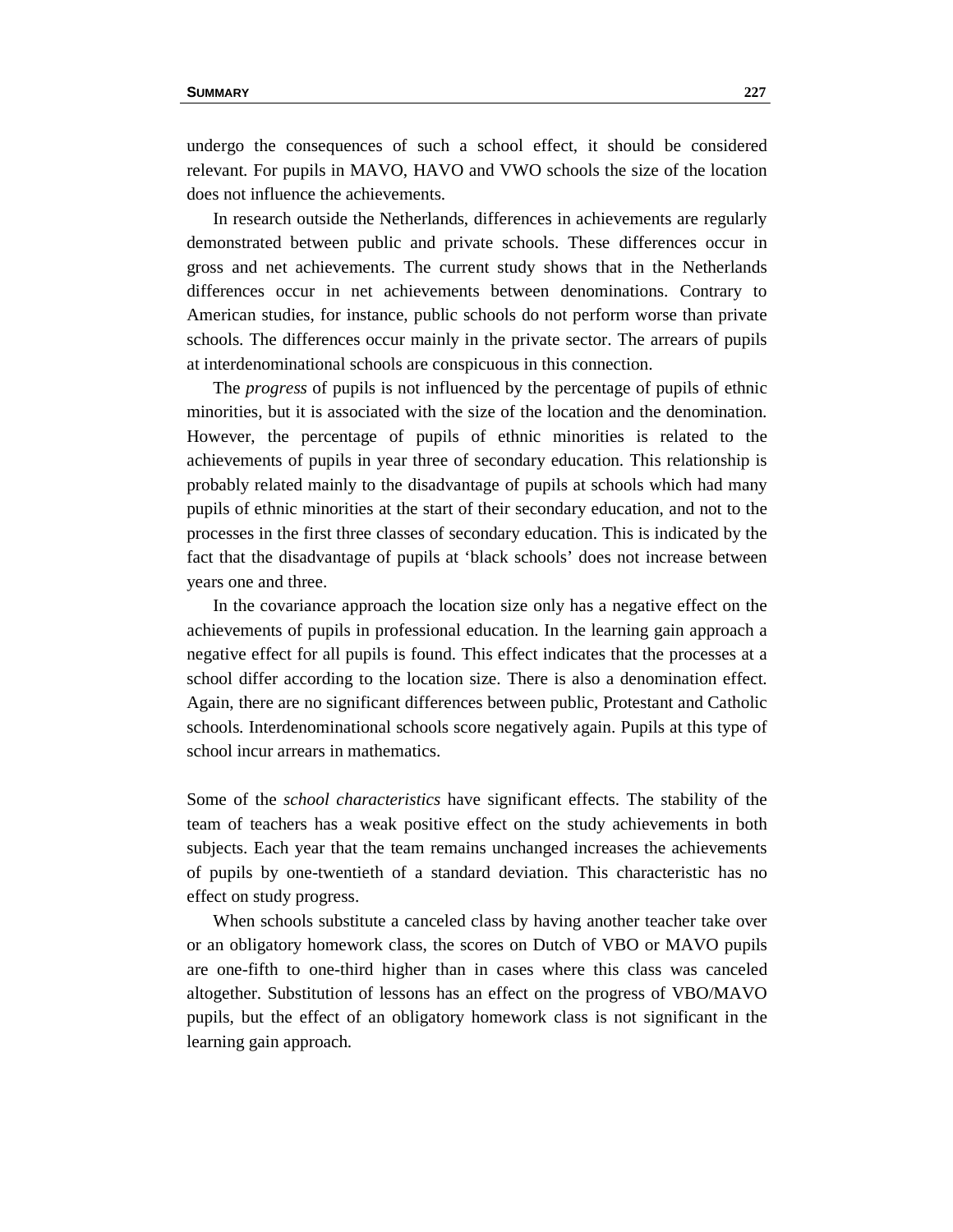undergo the consequences of such a school effect, it should be considered relevant. For pupils in MAVO, HAVO and VWO schools the size of the location does not influence the achievements.

 In research outside the Netherlands, differences in achievements are regularly demonstrated between public and private schools. These differences occur in gross and net achievements. The current study shows that in the Netherlands differences occur in net achievements between denominations. Contrary to American studies, for instance, public schools do not perform worse than private schools. The differences occur mainly in the private sector. The arrears of pupils at interdenominational schools are conspicuous in this connection.

 The *progress* of pupils is not influenced by the percentage of pupils of ethnic minorities, but it is associated with the size of the location and the denomination. However, the percentage of pupils of ethnic minorities is related to the achievements of pupils in year three of secondary education. This relationship is probably related mainly to the disadvantage of pupils at schools which had many pupils of ethnic minorities at the start of their secondary education, and not to the processes in the first three classes of secondary education. This is indicated by the fact that the disadvantage of pupils at 'black schools' does not increase between years one and three.

 In the covariance approach the location size only has a negative effect on the achievements of pupils in professional education. In the learning gain approach a negative effect for all pupils is found. This effect indicates that the processes at a school differ according to the location size. There is also a denomination effect. Again, there are no significant differences between public, Protestant and Catholic schools. Interdenominational schools score negatively again. Pupils at this type of school incur arrears in mathematics.

Some of the *school characteristics* have significant effects. The stability of the team of teachers has a weak positive effect on the study achievements in both subjects. Each year that the team remains unchanged increases the achievements of pupils by one-twentieth of a standard deviation. This characteristic has no effect on study progress.

 When schools substitute a canceled class by having another teacher take over or an obligatory homework class, the scores on Dutch of VBO or MAVO pupils are one-fifth to one-third higher than in cases where this class was canceled altogether. Substitution of lessons has an effect on the progress of VBO/MAVO pupils, but the effect of an obligatory homework class is not significant in the learning gain approach.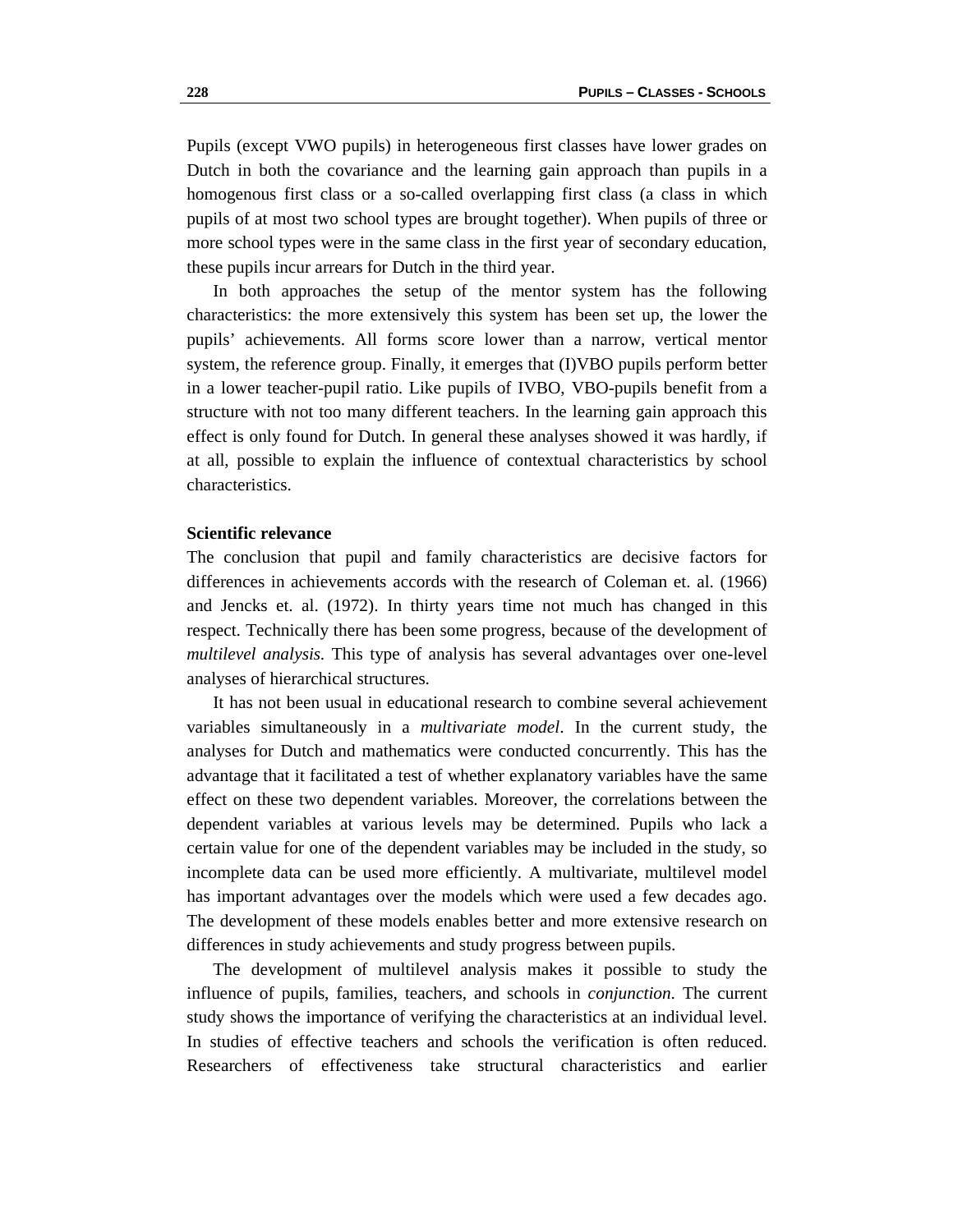Pupils (except VWO pupils) in heterogeneous first classes have lower grades on Dutch in both the covariance and the learning gain approach than pupils in a homogenous first class or a so-called overlapping first class (a class in which pupils of at most two school types are brought together). When pupils of three or more school types were in the same class in the first year of secondary education, these pupils incur arrears for Dutch in the third year.

 In both approaches the setup of the mentor system has the following characteristics: the more extensively this system has been set up, the lower the pupils' achievements. All forms score lower than a narrow, vertical mentor system, the reference group. Finally, it emerges that (I)VBO pupils perform better in a lower teacher-pupil ratio. Like pupils of IVBO, VBO-pupils benefit from a structure with not too many different teachers. In the learning gain approach this effect is only found for Dutch. In general these analyses showed it was hardly, if at all, possible to explain the influence of contextual characteristics by school characteristics.

#### **Scientific relevance**

The conclusion that pupil and family characteristics are decisive factors for differences in achievements accords with the research of Coleman et. al. (1966) and Jencks et. al. (1972). In thirty years time not much has changed in this respect. Technically there has been some progress, because of the development of *multilevel analysis*. This type of analysis has several advantages over one-level analyses of hierarchical structures.

 It has not been usual in educational research to combine several achievement variables simultaneously in a *multivariate model*. In the current study, the analyses for Dutch and mathematics were conducted concurrently. This has the advantage that it facilitated a test of whether explanatory variables have the same effect on these two dependent variables. Moreover, the correlations between the dependent variables at various levels may be determined. Pupils who lack a certain value for one of the dependent variables may be included in the study, so incomplete data can be used more efficiently. A multivariate, multilevel model has important advantages over the models which were used a few decades ago. The development of these models enables better and more extensive research on differences in study achievements and study progress between pupils.

 The development of multilevel analysis makes it possible to study the influence of pupils, families, teachers, and schools in *conjunction*. The current study shows the importance of verifying the characteristics at an individual level. In studies of effective teachers and schools the verification is often reduced. Researchers of effectiveness take structural characteristics and earlier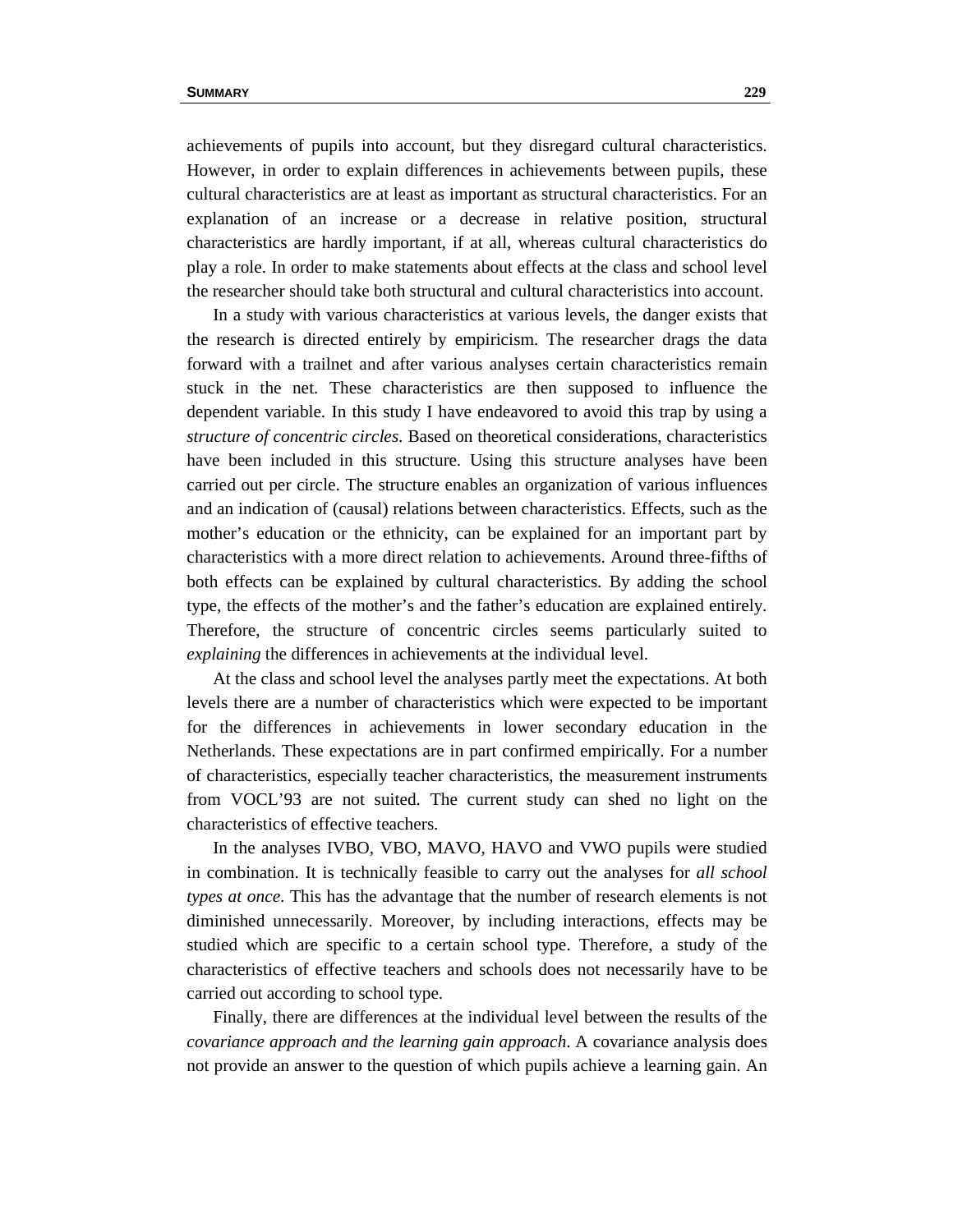achievements of pupils into account, but they disregard cultural characteristics. However, in order to explain differences in achievements between pupils, these cultural characteristics are at least as important as structural characteristics. For an explanation of an increase or a decrease in relative position, structural characteristics are hardly important, if at all, whereas cultural characteristics do play a role. In order to make statements about effects at the class and school level the researcher should take both structural and cultural characteristics into account.

 In a study with various characteristics at various levels, the danger exists that the research is directed entirely by empiricism. The researcher drags the data forward with a trailnet and after various analyses certain characteristics remain stuck in the net. These characteristics are then supposed to influence the dependent variable. In this study I have endeavored to avoid this trap by using a *structure of concentric circles*. Based on theoretical considerations, characteristics have been included in this structure. Using this structure analyses have been carried out per circle. The structure enables an organization of various influences and an indication of (causal) relations between characteristics. Effects, such as the mother's education or the ethnicity, can be explained for an important part by characteristics with a more direct relation to achievements. Around three-fifths of both effects can be explained by cultural characteristics. By adding the school type, the effects of the mother's and the father's education are explained entirely. Therefore, the structure of concentric circles seems particularly suited to *explaining* the differences in achievements at the individual level.

 At the class and school level the analyses partly meet the expectations. At both levels there are a number of characteristics which were expected to be important for the differences in achievements in lower secondary education in the Netherlands. These expectations are in part confirmed empirically. For a number of characteristics, especially teacher characteristics, the measurement instruments from VOCL'93 are not suited. The current study can shed no light on the characteristics of effective teachers.

 In the analyses IVBO, VBO, MAVO, HAVO and VWO pupils were studied in combination. It is technically feasible to carry out the analyses for *all school types at once*. This has the advantage that the number of research elements is not diminished unnecessarily. Moreover, by including interactions, effects may be studied which are specific to a certain school type. Therefore, a study of the characteristics of effective teachers and schools does not necessarily have to be carried out according to school type.

 Finally, there are differences at the individual level between the results of the *covariance approach and the learning gain approach*. A covariance analysis does not provide an answer to the question of which pupils achieve a learning gain. An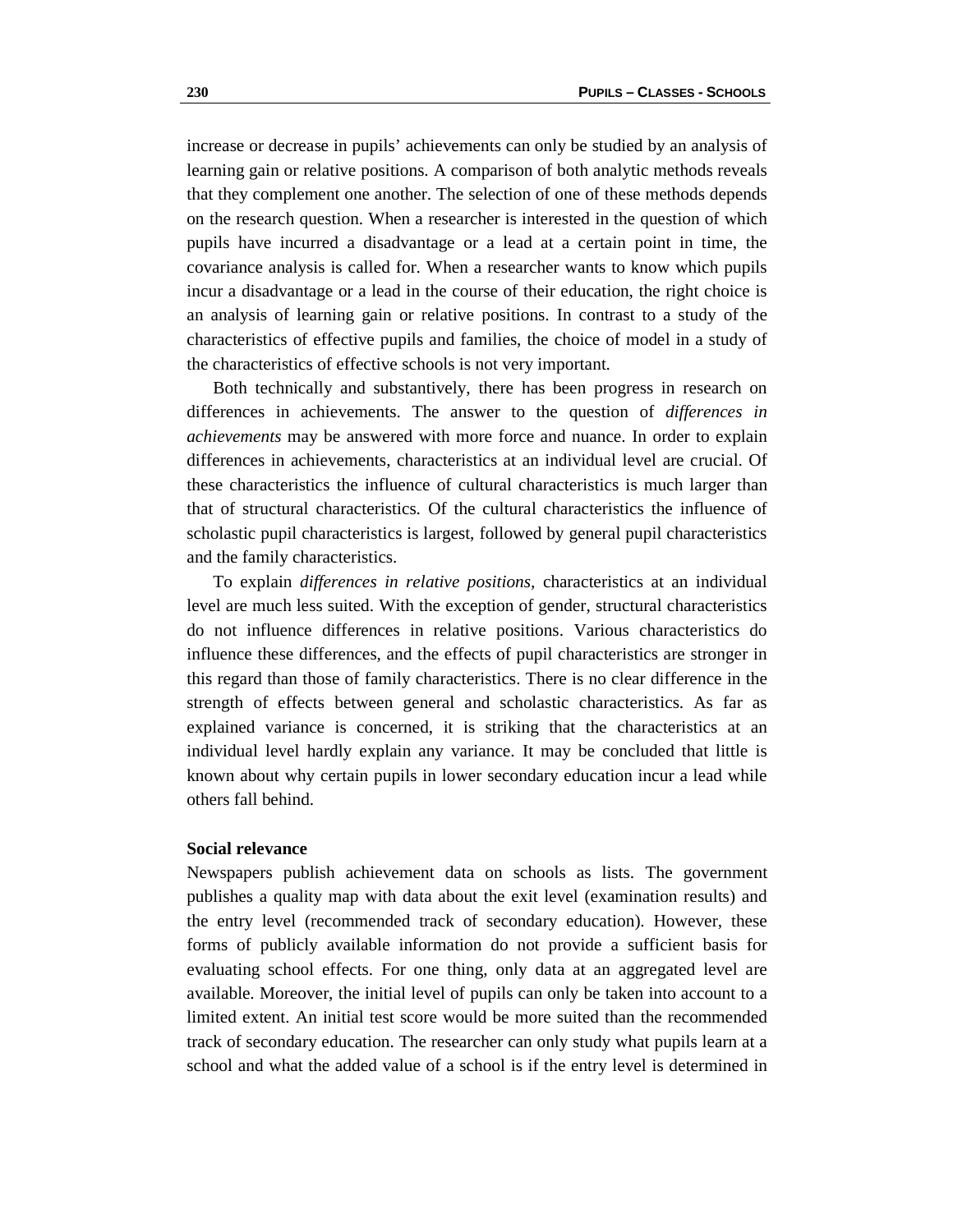increase or decrease in pupils' achievements can only be studied by an analysis of learning gain or relative positions. A comparison of both analytic methods reveals that they complement one another. The selection of one of these methods depends on the research question. When a researcher is interested in the question of which pupils have incurred a disadvantage or a lead at a certain point in time, the covariance analysis is called for. When a researcher wants to know which pupils incur a disadvantage or a lead in the course of their education, the right choice is an analysis of learning gain or relative positions. In contrast to a study of the characteristics of effective pupils and families, the choice of model in a study of the characteristics of effective schools is not very important.

 Both technically and substantively, there has been progress in research on differences in achievements. The answer to the question of *differences in achievements* may be answered with more force and nuance. In order to explain differences in achievements, characteristics at an individual level are crucial. Of these characteristics the influence of cultural characteristics is much larger than that of structural characteristics. Of the cultural characteristics the influence of scholastic pupil characteristics is largest, followed by general pupil characteristics and the family characteristics.

 To explain *differences in relative positions,* characteristics at an individual level are much less suited. With the exception of gender, structural characteristics do not influence differences in relative positions. Various characteristics do influence these differences, and the effects of pupil characteristics are stronger in this regard than those of family characteristics. There is no clear difference in the strength of effects between general and scholastic characteristics. As far as explained variance is concerned, it is striking that the characteristics at an individual level hardly explain any variance. It may be concluded that little is known about why certain pupils in lower secondary education incur a lead while others fall behind.

# **Social relevance**

Newspapers publish achievement data on schools as lists. The government publishes a quality map with data about the exit level (examination results) and the entry level (recommended track of secondary education). However, these forms of publicly available information do not provide a sufficient basis for evaluating school effects. For one thing, only data at an aggregated level are available. Moreover, the initial level of pupils can only be taken into account to a limited extent. An initial test score would be more suited than the recommended track of secondary education. The researcher can only study what pupils learn at a school and what the added value of a school is if the entry level is determined in